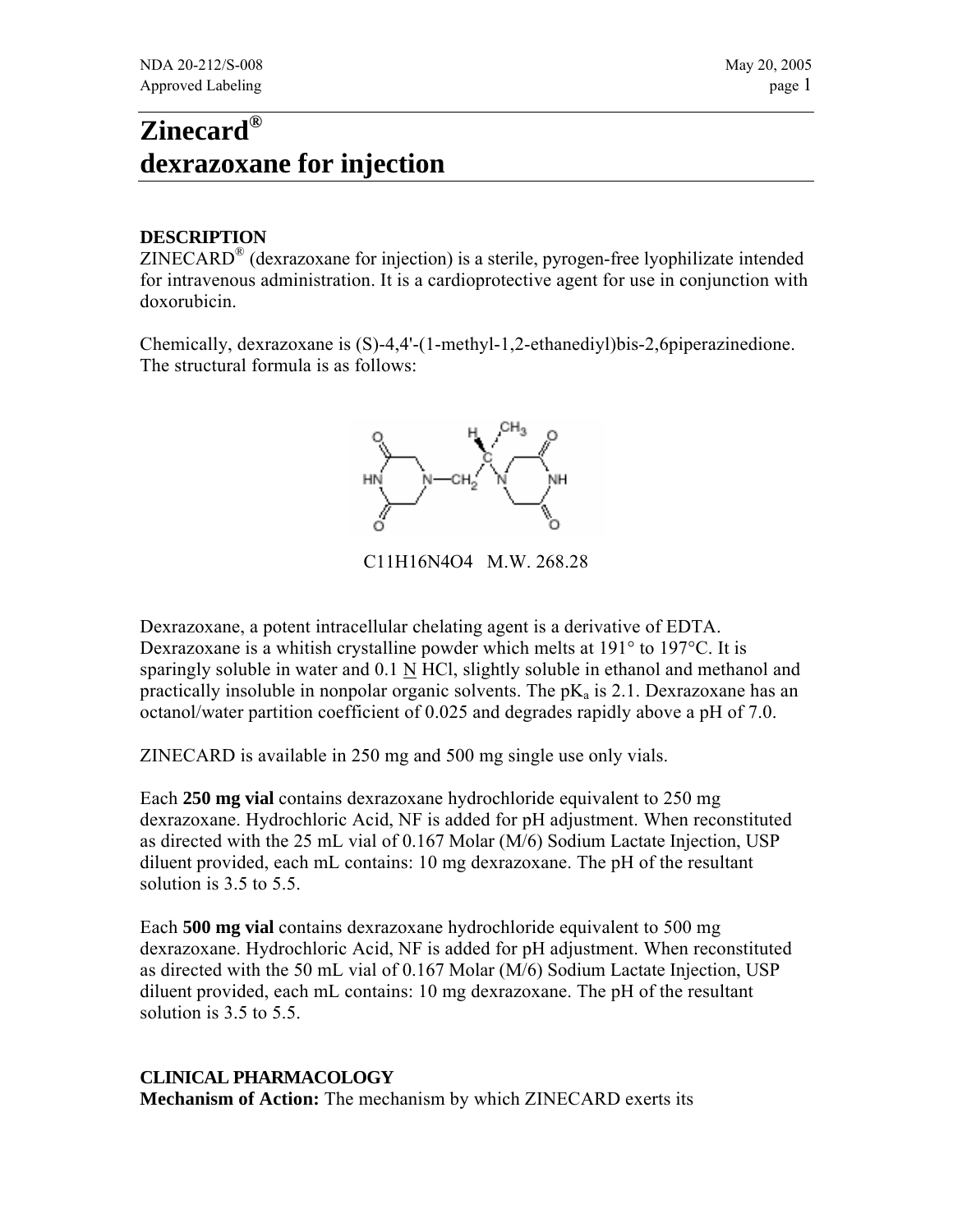# **Zinecard® dexrazoxane for injection**

#### **DESCRIPTION**

ZINECARD® (dexrazoxane for injection) is a sterile, pyrogen-free lyophilizate intended for intravenous administration. It is a cardioprotective agent for use in conjunction with doxorubicin.

Chemically, dexrazoxane is (S)-4,4'-(1-methyl-1,2-ethanediyl)bis-2,6piperazinedione. The structural formula is as follows:



C11H16N4O4 M.W. 268.28

Dexrazoxane, a potent intracellular chelating agent is a derivative of EDTA. Dexrazoxane is a whitish crystalline powder which melts at 191° to 197°C. It is sparingly soluble in water and 0.1 N HCl, slightly soluble in ethanol and methanol and practically insoluble in nonpolar organic solvents. The  $pK_a$  is 2.1. Dexrazoxane has an octanol/water partition coefficient of 0.025 and degrades rapidly above a pH of 7.0.

ZINECARD is available in 250 mg and 500 mg single use only vials.

Each **250 mg vial** contains dexrazoxane hydrochloride equivalent to 250 mg dexrazoxane. Hydrochloric Acid, NF is added for pH adjustment. When reconstituted as directed with the 25 mL vial of 0.167 Molar (M/6) Sodium Lactate Injection, USP diluent provided, each mL contains: 10 mg dexrazoxane. The pH of the resultant solution is 3.5 to 5.5.

Each **500 mg vial** contains dexrazoxane hydrochloride equivalent to 500 mg dexrazoxane. Hydrochloric Acid, NF is added for pH adjustment. When reconstituted as directed with the 50 mL vial of 0.167 Molar (M/6) Sodium Lactate Injection, USP diluent provided, each mL contains: 10 mg dexrazoxane. The pH of the resultant solution is 3.5 to 5.5.

#### **CLINICAL PHARMACOLOGY**

**Mechanism of Action:** The mechanism by which ZINECARD exerts its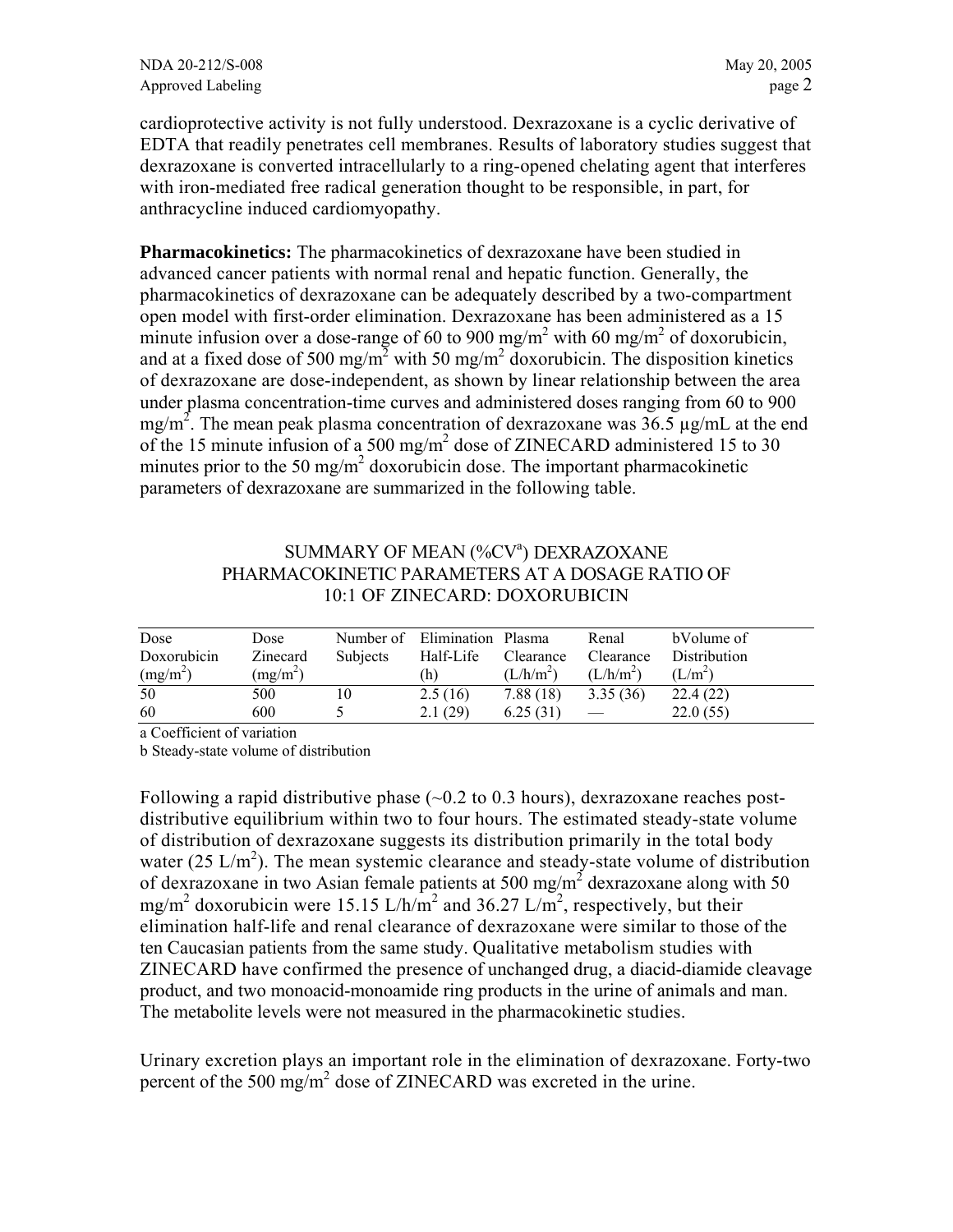NDA 20-212/S-008 May 20, 2005 Approved Labeling page 2

cardioprotective activity is not fully understood. Dexrazoxane is a cyclic derivative of EDTA that readily penetrates cell membranes. Results of laboratory studies suggest that dexrazoxane is converted intracellularly to a ring-opened chelating agent that interferes with iron-mediated free radical generation thought to be responsible, in part, for anthracycline induced cardiomyopathy.

**Pharmacokinetics:** The pharmacokinetics of dexrazoxane have been studied in advanced cancer patients with normal renal and hepatic function. Generally, the pharmacokinetics of dexrazoxane can be adequately described by a two-compartment open model with first-order elimination. Dexrazoxane has been administered as a 15 minute infusion over a dose-range of 60 to 900 mg/m<sup>2</sup> with 60 mg/m<sup>2</sup> of doxorubicin, and at a fixed dose of 500 mg/m<sup>2</sup> with 50 mg/m<sup>2</sup> doxorubicin. The disposition kinetics of dexrazoxane are dose-independent, as shown by linear relationship between the area under plasma concentration-time curves and administered doses ranging from 60 to 900 mg/m<sup>2</sup>. The mean peak plasma concentration of dexrazoxane was  $36.5 \mu$ g/mL at the end of the 15 minute infusion of a 500 mg/m<sup>2</sup> dose of ZINECARD administered 15 to 30 minutes prior to the 50 mg/m<sup>2</sup> doxorubicin dose. The important pharmacokinetic parameters of dexrazoxane are summarized in the following table.

# SUMMARY OF MEAN (%CV<sup>a</sup>) DEXRAZOXANE PHARMACOKINETIC PARAMETERS AT A DOSAGE RATIO OF 10:1 OF ZINECARD: DOXORUBICIN

| Dose<br>Doxorubicin<br>(mg/m <sup>2</sup> ) | Dose<br>Zinecard<br>$(mg/m^2)$ | Number of<br><b>Subjects</b> | Elimination Plasma<br>Half-Life<br>'h) | Clearance<br>(L/h/m <sup>2</sup> ) | Renal<br>Clearance<br>(L/h/m <sup>2</sup> ) | bVolume of<br>Distribution<br>(L/m <sup>2</sup> ) |
|---------------------------------------------|--------------------------------|------------------------------|----------------------------------------|------------------------------------|---------------------------------------------|---------------------------------------------------|
| 50                                          | 500                            |                              | 2.5(16)                                | 7.88(18)                           | 3.35(36)                                    | 22.4(22)                                          |
| 60                                          | 600                            |                              | 2.1(29)                                | 6.25(31)                           |                                             | 22.0(55)                                          |

a Coefficient of variation

b Steady-state volume of distribution

Following a rapid distributive phase  $(\sim 0.2 \text{ to } 0.3 \text{ hours})$ , dexrazoxane reaches postdistributive equilibrium within two to four hours. The estimated steady-state volume of distribution of dexrazoxane suggests its distribution primarily in the total body water (25 L/m<sup>2</sup>). The mean systemic clearance and steady-state volume of distribution of dexrazoxane in two Asian female patients at 500 mg/m<sup>2</sup> dexrazoxane along with 50 mg/m<sup>2</sup> doxorubicin were 15.15 L/h/m<sup>2</sup> and 36.27 L/m<sup>2</sup>, respectively, but their elimination half-life and renal clearance of dexrazoxane were similar to those of the ten Caucasian patients from the same study. Qualitative metabolism studies with ZINECARD have confirmed the presence of unchanged drug, a diacid-diamide cleavage product, and two monoacid-monoamide ring products in the urine of animals and man. The metabolite levels were not measured in the pharmacokinetic studies.

Urinary excretion plays an important role in the elimination of dexrazoxane. Forty-two percent of the 500 mg/m<sup>2</sup> dose of ZINECARD was excreted in the urine.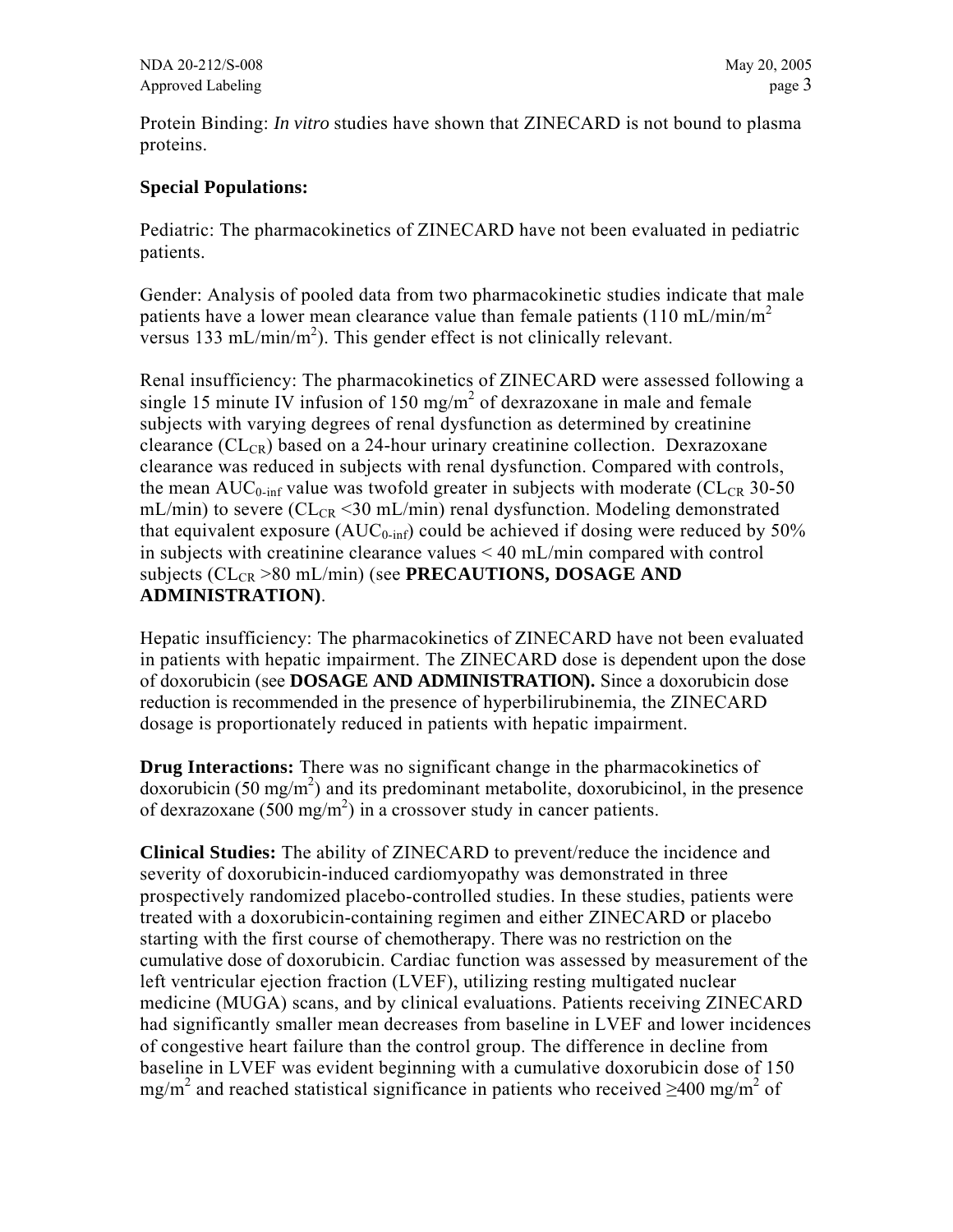Protein Binding: *In vitro* studies have shown that ZINECARD is not bound to plasma proteins.

## **Special Populations:**

Pediatric: The pharmacokinetics of ZINECARD have not been evaluated in pediatric patients.

Gender: Analysis of pooled data from two pharmacokinetic studies indicate that male patients have a lower mean clearance value than female patients (110 mL/min/m<sup>2</sup> versus 133 mL/min/m<sup>2</sup>). This gender effect is not clinically relevant.

Renal insufficiency: The pharmacokinetics of ZINECARD were assessed following a single 15 minute IV infusion of 150 mg/m<sup>2</sup> of dexrazoxane in male and female subjects with varying degrees of renal dysfunction as determined by creatinine clearance  $CL_{CR}$ ) based on a 24-hour urinary creatinine collection. Dexrazoxane clearance was reduced in subjects with renal dysfunction. Compared with controls, the mean AUC<sub>0-inf</sub> value was twofold greater in subjects with moderate ( $CL_{CR}$  30-50 mL/min) to severe ( $CL_{CR}$  <30 mL/min) renal dysfunction. Modeling demonstrated that equivalent exposure  $(AUC_{0\text{-inf}})$  could be achieved if dosing were reduced by 50% in subjects with creatinine clearance values < 40 mL/min compared with control subjects (CL<sub>CR</sub> > 80 mL/min) (see **PRECAUTIONS, DOSAGE AND ADMINISTRATION)**.

Hepatic insufficiency: The pharmacokinetics of ZINECARD have not been evaluated in patients with hepatic impairment. The ZINECARD dose is dependent upon the dose of doxorubicin (see **DOSAGE AND ADMINISTRATION).** Since a doxorubicin dose reduction is recommended in the presence of hyperbilirubinemia, the ZINECARD dosage is proportionately reduced in patients with hepatic impairment.

**Drug Interactions:** There was no significant change in the pharmacokinetics of doxorubicin (50 mg/m<sup>2</sup>) and its predominant metabolite, doxorubicinol, in the presence of dexrazoxane (500 mg/m<sup>2</sup>) in a crossover study in cancer patients.

**Clinical Studies:** The ability of ZINECARD to prevent/reduce the incidence and severity of doxorubicin-induced cardiomyopathy was demonstrated in three prospectively randomized placebo-controlled studies. In these studies, patients were treated with a doxorubicin-containing regimen and either ZINECARD or placebo starting with the first course of chemotherapy. There was no restriction on the cumulative dose of doxorubicin. Cardiac function was assessed by measurement of the left ventricular ejection fraction (LVEF), utilizing resting multigated nuclear medicine (MUGA) scans, and by clinical evaluations. Patients receiving ZINECARD had significantly smaller mean decreases from baseline in LVEF and lower incidences of congestive heart failure than the control group. The difference in decline from baseline in LVEF was evident beginning with a cumulative doxorubicin dose of 150 mg/m<sup>2</sup> and reached statistical significance in patients who received  $\geq 400$  mg/m<sup>2</sup> of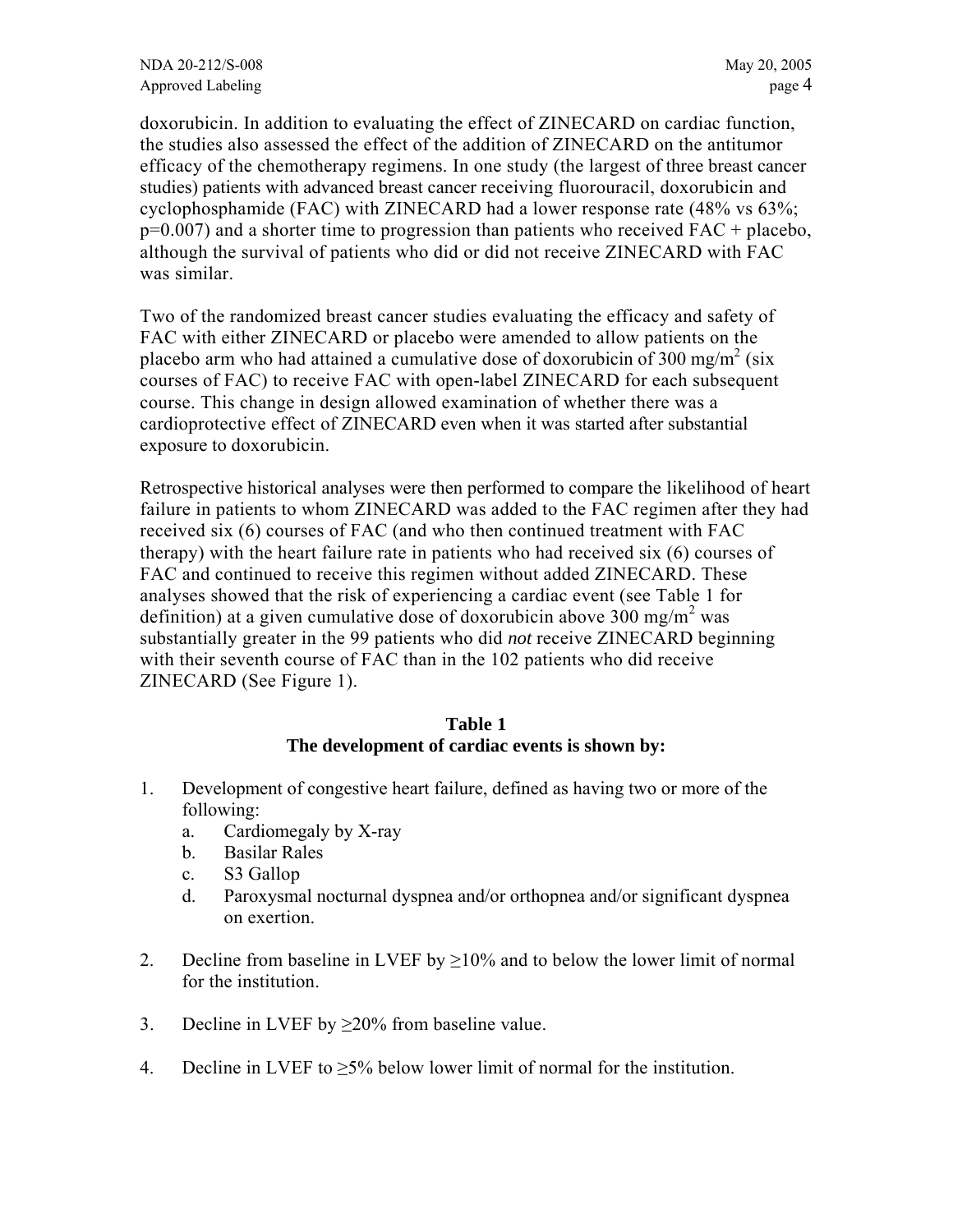doxorubicin. In addition to evaluating the effect of ZINECARD on cardiac function, the studies also assessed the effect of the addition of ZINECARD on the antitumor efficacy of the chemotherapy regimens. In one study (the largest of three breast cancer studies) patients with advanced breast cancer receiving fluorouracil, doxorubicin and cyclophosphamide (FAC) with ZINECARD had a lower response rate (48% vs 63%;  $p=0.007$ ) and a shorter time to progression than patients who received  $FAC + placebo$ , although the survival of patients who did or did not receive ZINECARD with FAC was similar.

Two of the randomized breast cancer studies evaluating the efficacy and safety of FAC with either ZINECARD or placebo were amended to allow patients on the placebo arm who had attained a cumulative dose of doxorubicin of 300 mg/m<sup>2</sup> (six courses of FAC) to receive FAC with open-label ZINECARD for each subsequent course. This change in design allowed examination of whether there was a cardioprotective effect of ZINECARD even when it was started after substantial exposure to doxorubicin.

Retrospective historical analyses were then performed to compare the likelihood of heart failure in patients to whom ZINECARD was added to the FAC regimen after they had received six (6) courses of FAC (and who then continued treatment with FAC therapy) with the heart failure rate in patients who had received six (6) courses of FAC and continued to receive this regimen without added ZINECARD. These analyses showed that the risk of experiencing a cardiac event (see Table 1 for definition) at a given cumulative dose of doxorubicin above  $300 \text{ mg/m}^2$  was substantially greater in the 99 patients who did *not* receive ZINECARD beginning with their seventh course of FAC than in the 102 patients who did receive ZINECARD (See Figure 1).

#### **Table 1 The development of cardiac events is shown by:**

- 1. Development of congestive heart failure, defined as having two or more of the following:
	- a. Cardiomegaly by X-ray
	- b. Basilar Rales
	- c. S3 Gallop
	- d. Paroxysmal nocturnal dyspnea and/or orthopnea and/or significant dyspnea on exertion.
- 2. Decline from baseline in LVEF by  $\geq$ 10% and to below the lower limit of normal for the institution.
- 3. Decline in LVEF by  $\geq$ 20% from baseline value.
- 4. Decline in LVEF to  $\geq 5\%$  below lower limit of normal for the institution.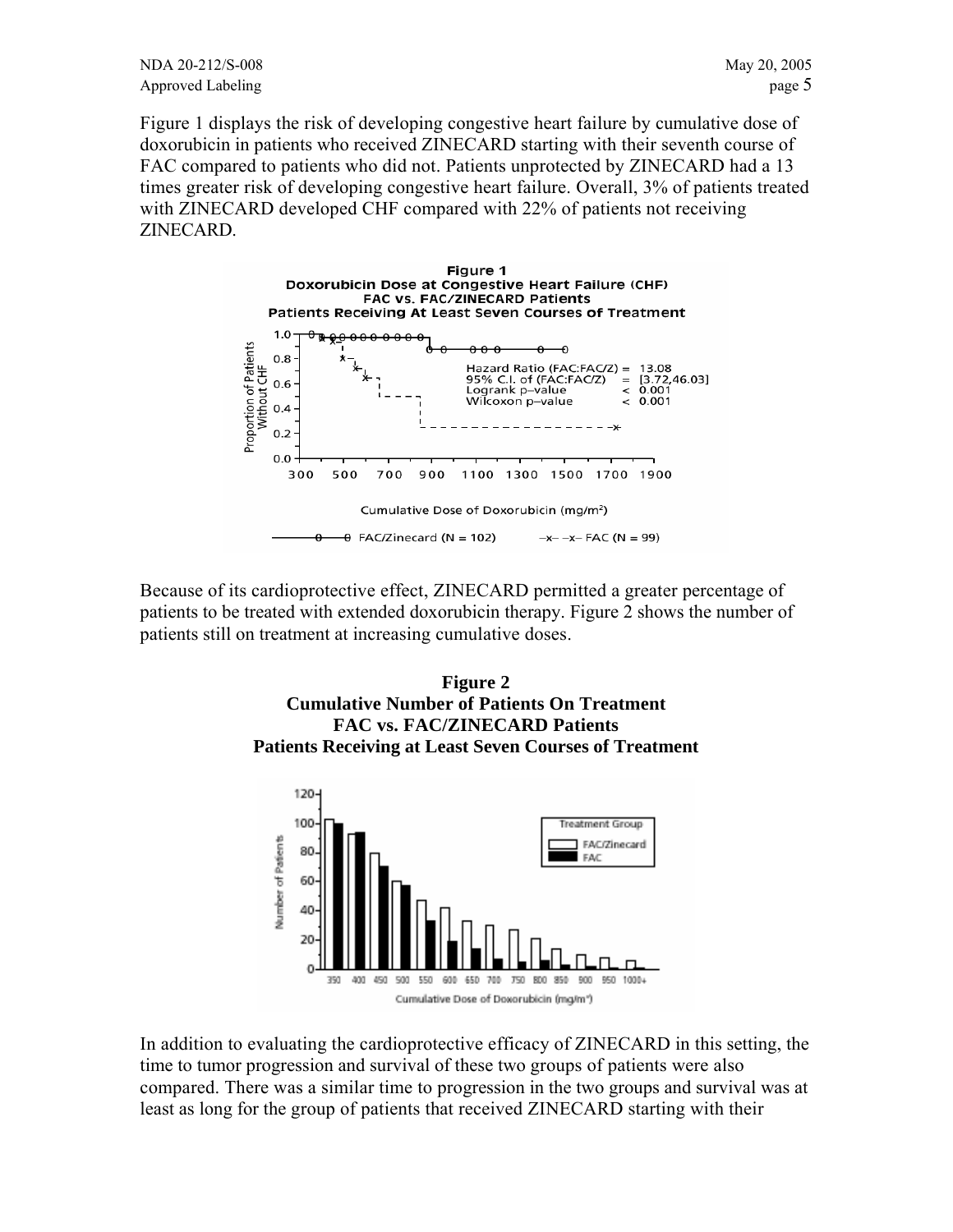Figure 1 displays the risk of developing congestive heart failure by cumulative dose of doxorubicin in patients who received ZINECARD starting with their seventh course of FAC compared to patients who did not. Patients unprotected by ZINECARD had a 13 times greater risk of developing congestive heart failure. Overall, 3% of patients treated with ZINECARD developed CHF compared with 22% of patients not receiving ZINECARD.



Because of its cardioprotective effect, ZINECARD permitted a greater percentage of patients to be treated with extended doxorubicin therapy. Figure 2 shows the number of patients still on treatment at increasing cumulative doses.





In addition to evaluating the cardioprotective efficacy of ZINECARD in this setting, the time to tumor progression and survival of these two groups of patients were also compared. There was a similar time to progression in the two groups and survival was at least as long for the group of patients that received ZINECARD starting with their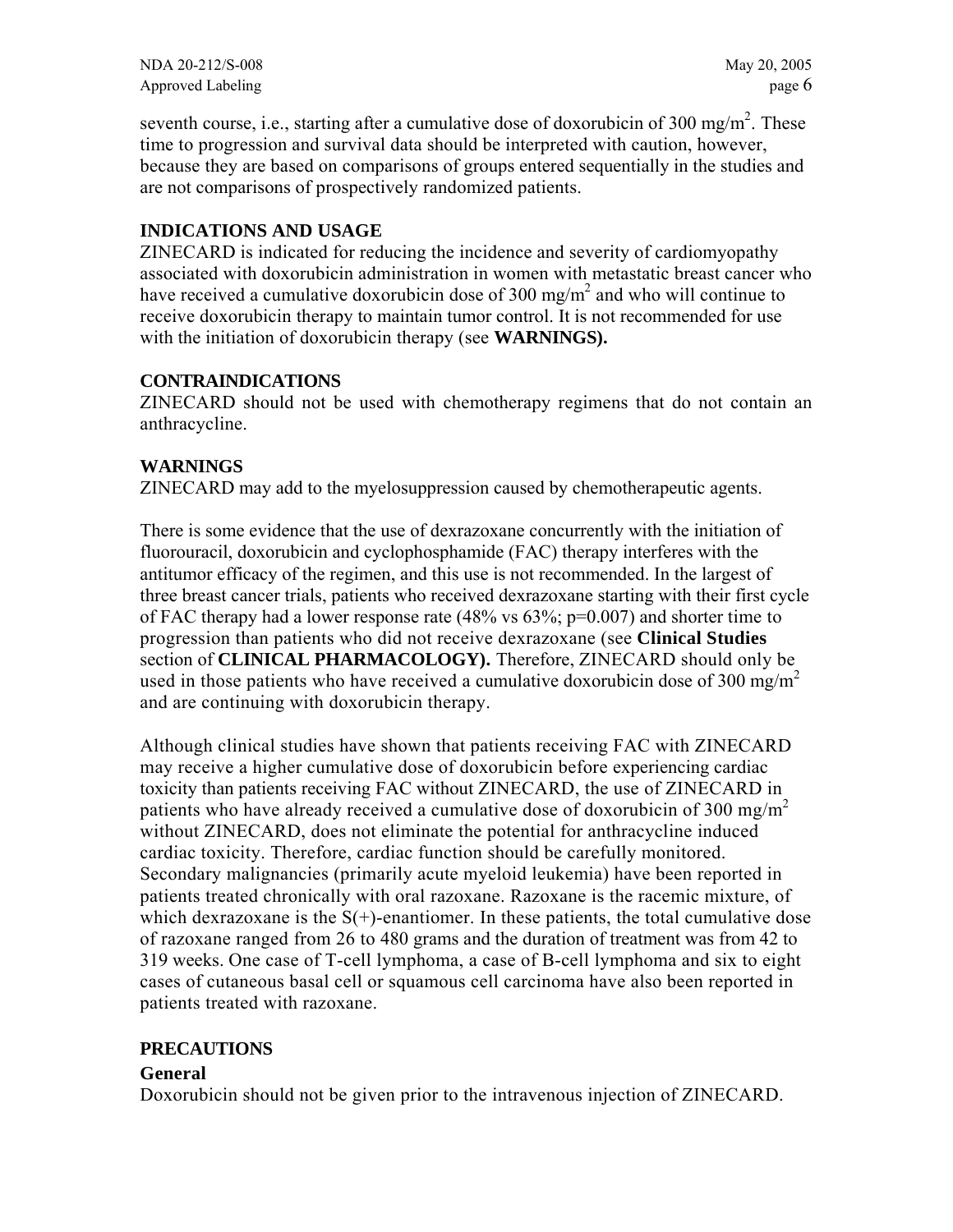NDA 20-212/S-008 May 20, 2005 Approved Labeling page 6

seventh course, i.e., starting after a cumulative dose of doxorubicin of 300 mg/m<sup>2</sup>. These time to progression and survival data should be interpreted with caution, however, because they are based on comparisons of groups entered sequentially in the studies and are not comparisons of prospectively randomized patients.

## **INDICATIONS AND USAGE**

ZINECARD is indicated for reducing the incidence and severity of cardiomyopathy associated with doxorubicin administration in women with metastatic breast cancer who have received a cumulative doxorubicin dose of 300 mg/m<sup>2</sup> and who will continue to receive doxorubicin therapy to maintain tumor control. It is not recommended for use with the initiation of doxorubicin therapy (see **WARNINGS).**

## **CONTRAINDICATIONS**

ZINECARD should not be used with chemotherapy regimens that do not contain an anthracycline.

## **WARNINGS**

ZINECARD may add to the myelosuppression caused by chemotherapeutic agents.

There is some evidence that the use of dexrazoxane concurrently with the initiation of fluorouracil, doxorubicin and cyclophosphamide (FAC) therapy interferes with the antitumor efficacy of the regimen, and this use is not recommended. In the largest of three breast cancer trials, patients who received dexrazoxane starting with their first cycle of FAC therapy had a lower response rate  $(48\% \text{ vs } 63\% \text{; } p=0.007)$  and shorter time to progression than patients who did not receive dexrazoxane (see **Clinical Studies**  section of **CLINICAL PHARMACOLOGY).** Therefore, ZINECARD should only be used in those patients who have received a cumulative doxorubicin dose of 300 mg/m<sup>2</sup> and are continuing with doxorubicin therapy.

Although clinical studies have shown that patients receiving FAC with ZINECARD may receive a higher cumulative dose of doxorubicin before experiencing cardiac toxicity than patients receiving FAC without ZINECARD, the use of ZINECARD in patients who have already received a cumulative dose of doxorubicin of 300 mg/m<sup>2</sup> without ZINECARD, does not eliminate the potential for anthracycline induced cardiac toxicity. Therefore, cardiac function should be carefully monitored. Secondary malignancies (primarily acute myeloid leukemia) have been reported in patients treated chronically with oral razoxane. Razoxane is the racemic mixture, of which dexrazoxane is the  $S(+)$ -enantiomer. In these patients, the total cumulative dose of razoxane ranged from 26 to 480 grams and the duration of treatment was from 42 to 319 weeks. One case of T-cell lymphoma, a case of B-cell lymphoma and six to eight cases of cutaneous basal cell or squamous cell carcinoma have also been reported in patients treated with razoxane.

# **PRECAUTIONS**

## **General**

Doxorubicin should not be given prior to the intravenous injection of ZINECARD.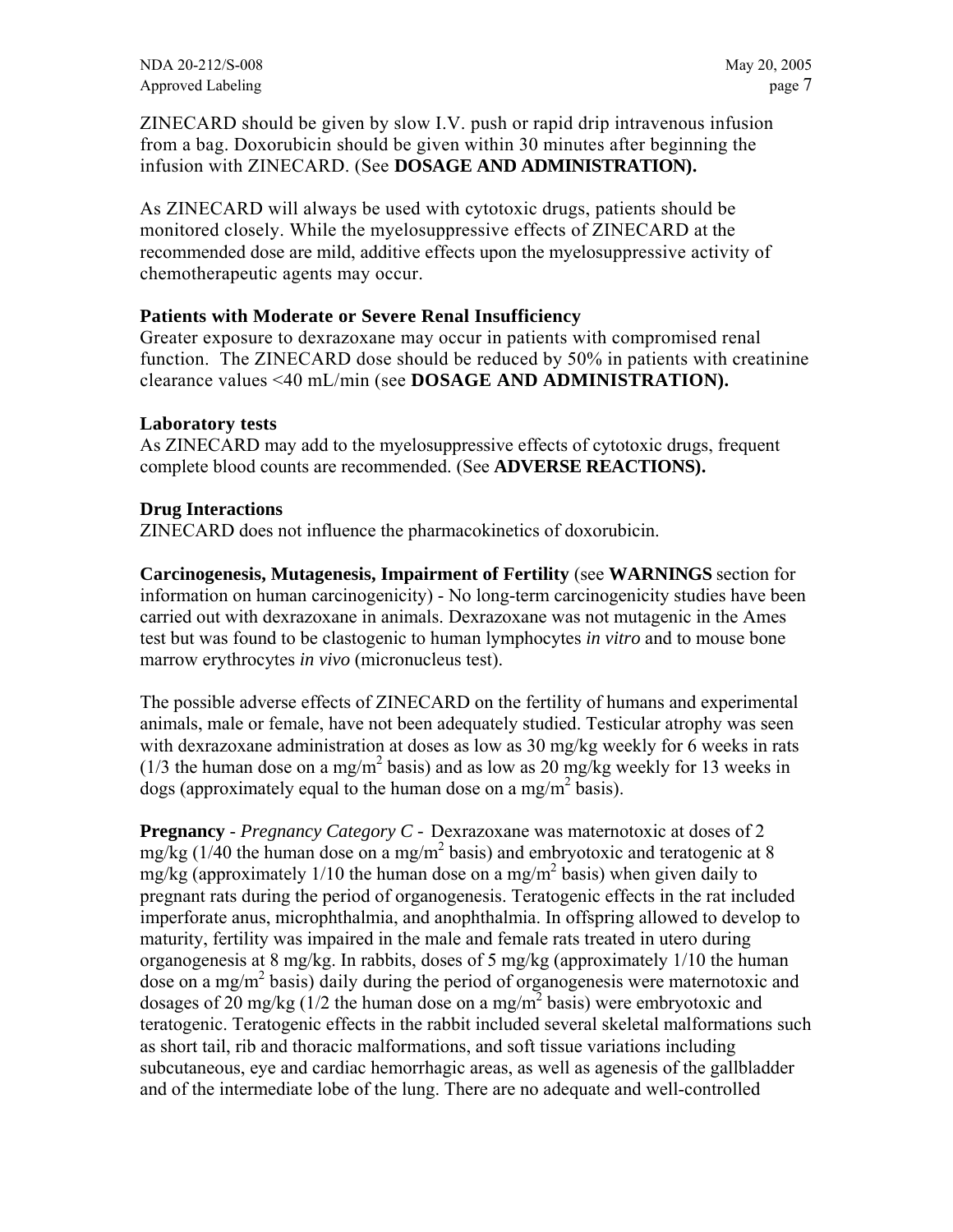ZINECARD should be given by slow I.V. push or rapid drip intravenous infusion from a bag. Doxorubicin should be given within 30 minutes after beginning the infusion with ZINECARD. (See **DOSAGE AND ADMINISTRATION).** 

As ZINECARD will always be used with cytotoxic drugs, patients should be monitored closely. While the myelosuppressive effects of ZINECARD at the recommended dose are mild, additive effects upon the myelosuppressive activity of chemotherapeutic agents may occur.

## **Patients with Moderate or Severe Renal Insufficiency**

Greater exposure to dexrazoxane may occur in patients with compromised renal function. The ZINECARD dose should be reduced by 50% in patients with creatinine clearance values <40 mL/min (see **DOSAGE AND ADMINISTRATION).**

#### **Laboratory tests**

As ZINECARD may add to the myelosuppressive effects of cytotoxic drugs, frequent complete blood counts are recommended. (See **ADVERSE REACTIONS).** 

#### **Drug Interactions**

ZINECARD does not influence the pharmacokinetics of doxorubicin.

**Carcinogenesis, Mutagenesis, Impairment of Fertility** (see **WARNINGS** section for information on human carcinogenicity) - No long-term carcinogenicity studies have been carried out with dexrazoxane in animals. Dexrazoxane was not mutagenic in the Ames test but was found to be clastogenic to human lymphocytes *in vitro* and to mouse bone marrow erythrocytes *in vivo* (micronucleus test).

The possible adverse effects of ZINECARD on the fertility of humans and experimental animals, male or female, have not been adequately studied. Testicular atrophy was seen with dexrazoxane administration at doses as low as 30 mg/kg weekly for 6 weeks in rats ( $1/3$  the human dose on a mg/m<sup>2</sup> basis) and as low as 20 mg/kg weekly for 13 weeks in dogs (approximately equal to the human dose on a mg/m<sup>2</sup> basis).

**Pregnancy** - *Pregnancy Category C -* Dexrazoxane was maternotoxic at doses of 2  $mg/kg$  (1/40 the human dose on a mg/m<sup>2</sup> basis) and embryotoxic and teratogenic at 8  $mg/kg$  (approximately 1/10 the human dose on a mg/m<sup>2</sup> basis) when given daily to pregnant rats during the period of organogenesis. Teratogenic effects in the rat included imperforate anus, microphthalmia, and anophthalmia. In offspring allowed to develop to maturity, fertility was impaired in the male and female rats treated in utero during organogenesis at 8 mg/kg. In rabbits, doses of 5 mg/kg (approximately 1/10 the human dose on a mg/m<sup>2</sup> basis) daily during the period of organogenesis were maternotoxic and dosages of 20 mg/kg ( $1/2$  the human dose on a mg/m<sup>2</sup> basis) were embryotoxic and teratogenic. Teratogenic effects in the rabbit included several skeletal malformations such as short tail, rib and thoracic malformations, and soft tissue variations including subcutaneous, eye and cardiac hemorrhagic areas, as well as agenesis of the gallbladder and of the intermediate lobe of the lung. There are no adequate and well-controlled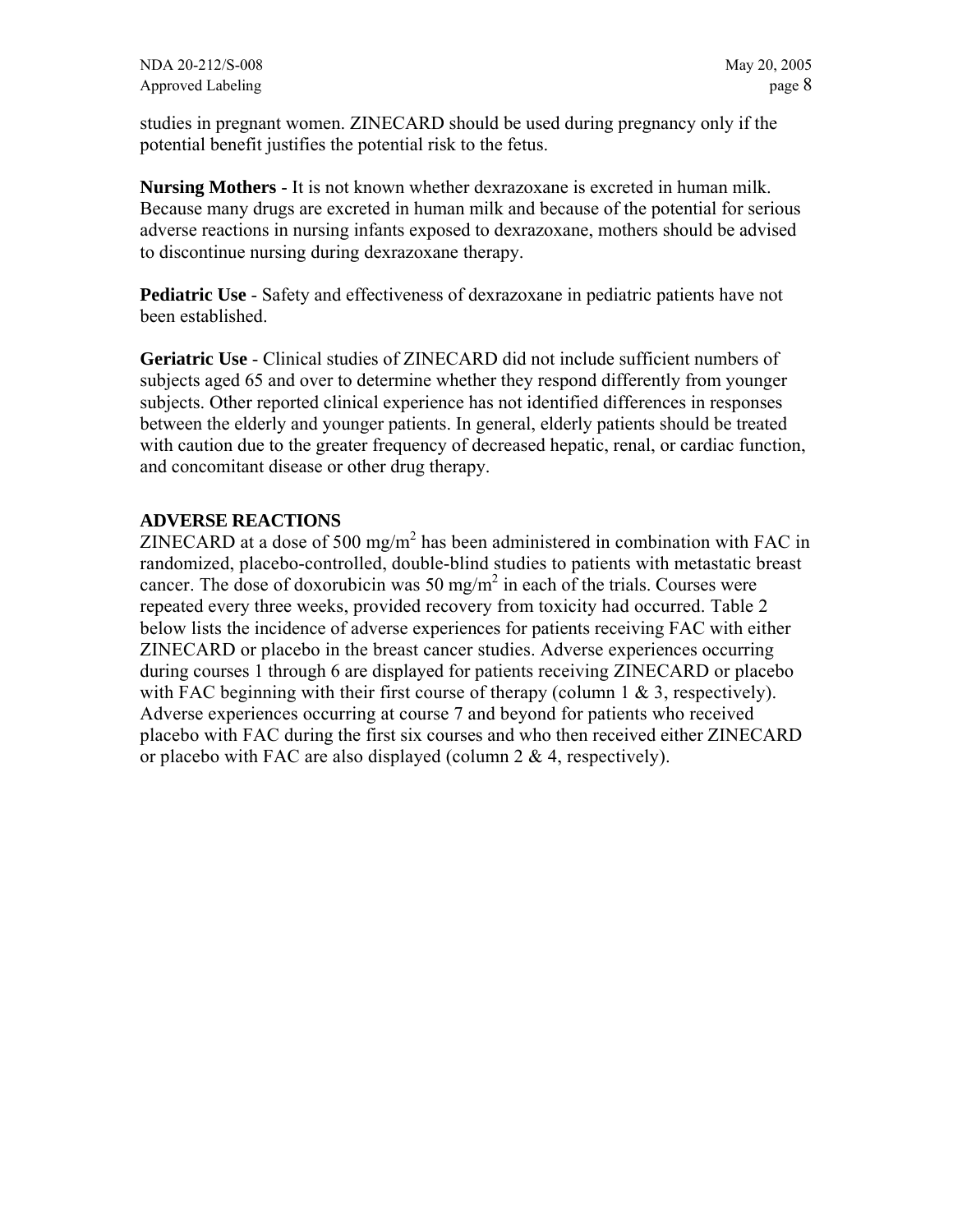studies in pregnant women. ZINECARD should be used during pregnancy only if the potential benefit justifies the potential risk to the fetus.

**Nursing Mothers** - It is not known whether dexrazoxane is excreted in human milk. Because many drugs are excreted in human milk and because of the potential for serious adverse reactions in nursing infants exposed to dexrazoxane, mothers should be advised to discontinue nursing during dexrazoxane therapy.

**Pediatric Use** - Safety and effectiveness of dexrazoxane in pediatric patients have not been established.

**Geriatric Use** - Clinical studies of ZINECARD did not include sufficient numbers of subjects aged 65 and over to determine whether they respond differently from younger subjects. Other reported clinical experience has not identified differences in responses between the elderly and younger patients. In general, elderly patients should be treated with caution due to the greater frequency of decreased hepatic, renal, or cardiac function, and concomitant disease or other drug therapy.

#### **ADVERSE REACTIONS**

ZINECARD at a dose of 500 mg/m<sup>2</sup> has been administered in combination with FAC in randomized, placebo-controlled, double-blind studies to patients with metastatic breast cancer. The dose of doxorubicin was 50 mg/m<sup>2</sup> in each of the trials. Courses were repeated every three weeks, provided recovery from toxicity had occurred. Table 2 below lists the incidence of adverse experiences for patients receiving FAC with either ZINECARD or placebo in the breast cancer studies. Adverse experiences occurring during courses 1 through 6 are displayed for patients receiving ZINECARD or placebo with FAC beginning with their first course of therapy (column  $1 \& 3$ , respectively). Adverse experiences occurring at course 7 and beyond for patients who received placebo with FAC during the first six courses and who then received either ZINECARD or placebo with FAC are also displayed (column  $2 \& 4$ , respectively).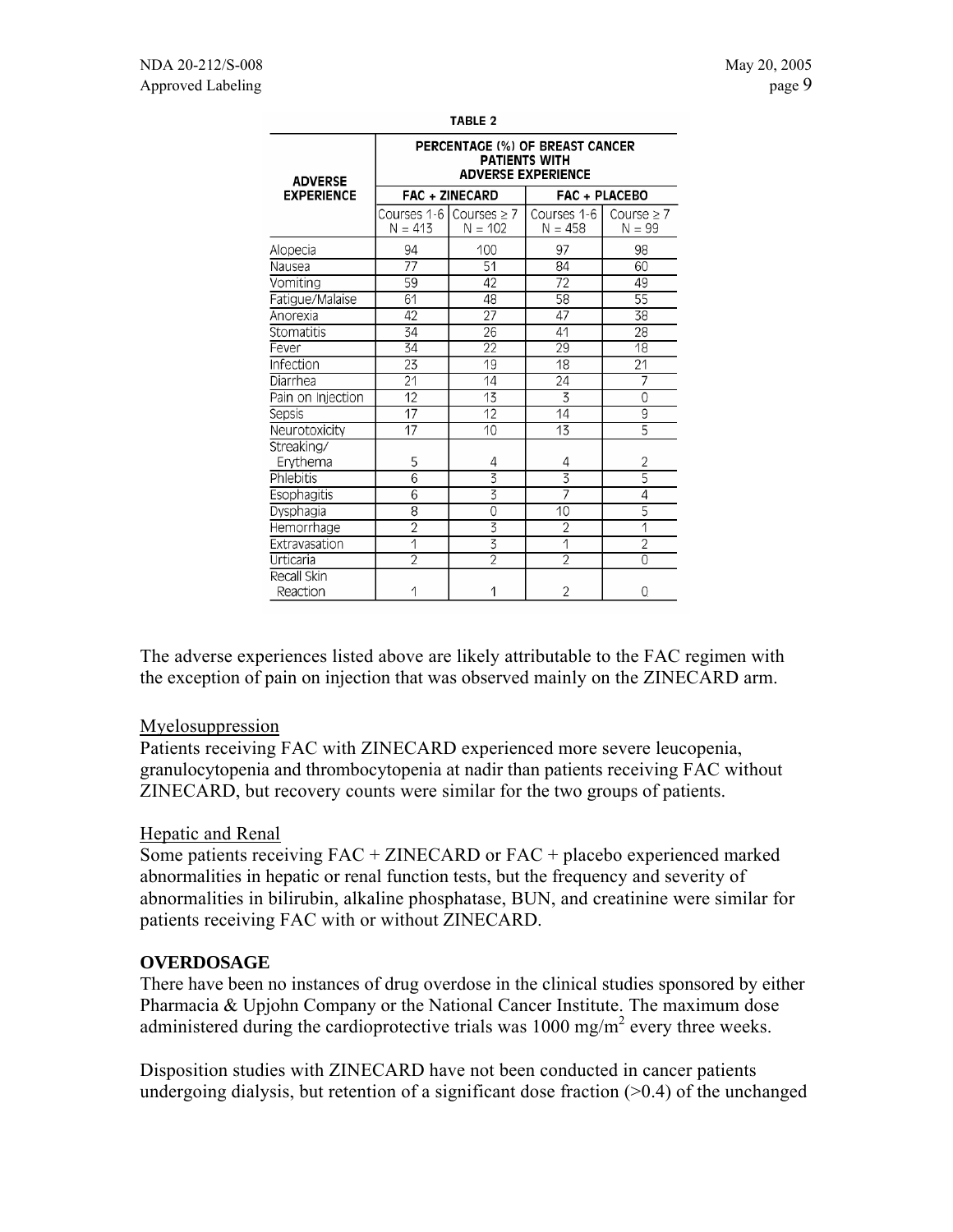| <b>TABLE 2</b>          |                                                                                      |                               |                          |                             |  |  |  |  |  |
|-------------------------|--------------------------------------------------------------------------------------|-------------------------------|--------------------------|-----------------------------|--|--|--|--|--|
| <b>ADVERSE</b>          | PERCENTAGE (%) OF BREAST CANCER<br><b>PATIENTS WITH</b><br><b>ADVERSE EXPERIENCE</b> |                               |                          |                             |  |  |  |  |  |
| <b>EXPERIENCE</b>       |                                                                                      | <b>FAC + ZINECARD</b>         | FAC + PLACEBO            |                             |  |  |  |  |  |
|                         | Courses 1-6<br>$N = 413$                                                             | Courses $\geq 7$<br>$N = 102$ | Courses 1-6<br>$N = 458$ | Course $\geq 7$<br>$N = 99$ |  |  |  |  |  |
| Alopecia                | 94                                                                                   | 100                           | 97                       | 98                          |  |  |  |  |  |
| Nausea                  | 77                                                                                   | 51                            | 84                       | 60                          |  |  |  |  |  |
| Vomiting                | 59                                                                                   | 42                            | $\overline{72}$          | 49                          |  |  |  |  |  |
| Fatigue/Malaise         | 61                                                                                   | 48                            | 58                       | 55                          |  |  |  |  |  |
| Anorexia                | 42                                                                                   | $\overline{27}$               | 47                       | 38                          |  |  |  |  |  |
| Stomatitis              | 34                                                                                   | 26                            | 41                       | 28                          |  |  |  |  |  |
| Fever                   | 34                                                                                   | $\overline{22}$               | 29                       | 18                          |  |  |  |  |  |
| Infection               | 23                                                                                   | 19                            | 18                       | 21                          |  |  |  |  |  |
| Diarrhea                | 21                                                                                   | 14                            | 24                       | 7                           |  |  |  |  |  |
| Pain on Injection       | 12                                                                                   | 13                            | $\overline{3}$           | 0                           |  |  |  |  |  |
| Sepsis                  | 17                                                                                   | $\overline{12}$               | 14                       | 9                           |  |  |  |  |  |
| Neurotoxicity           | 17                                                                                   | 10 <sup>7</sup>               | 13                       | $\overline{5}$              |  |  |  |  |  |
| Streaking/<br>Erythema  | 5                                                                                    | 4                             | 4                        | $\overline{c}$              |  |  |  |  |  |
| Phlebitis               | 6                                                                                    | 3                             | 3                        | 5                           |  |  |  |  |  |
| Esophagitis             | 6                                                                                    | 3                             | $\overline{7}$           | 4                           |  |  |  |  |  |
| Dysphagia               | 8                                                                                    | 0                             | 10                       | 5                           |  |  |  |  |  |
| Hemorrhage              | $\overline{2}$                                                                       | $\overline{3}$                | $\overline{2}$           | $\overline{1}$              |  |  |  |  |  |
| Extravasation           | 1                                                                                    | $\overline{3}$                | $\overline{1}$           | $\overline{2}$              |  |  |  |  |  |
| Urticaria               | $\overline{2}$                                                                       | $\overline{2}$                | $\overline{2}$           | $\overline{0}$              |  |  |  |  |  |
| Recall Skin<br>Reaction | 1                                                                                    | 1                             | $\overline{2}$           | 0                           |  |  |  |  |  |

The adverse experiences listed above are likely attributable to the FAC regimen with the exception of pain on injection that was observed mainly on the ZINECARD arm.

#### Myelosuppression

Patients receiving FAC with ZINECARD experienced more severe leucopenia, granulocytopenia and thrombocytopenia at nadir than patients receiving FAC without ZINECARD, but recovery counts were similar for the two groups of patients.

#### Hepatic and Renal

Some patients receiving FAC + ZINECARD or FAC + placebo experienced marked abnormalities in hepatic or renal function tests, but the frequency and severity of abnormalities in bilirubin, alkaline phosphatase, BUN, and creatinine were similar for patients receiving FAC with or without ZINECARD.

#### **OVERDOSAGE**

There have been no instances of drug overdose in the clinical studies sponsored by either Pharmacia & Upjohn Company or the National Cancer Institute. The maximum dose administered during the cardioprotective trials was  $1000 \text{ mg/m}^2$  every three weeks.

Disposition studies with ZINECARD have not been conducted in cancer patients undergoing dialysis, but retention of a significant dose fraction  $(0.4)$  of the unchanged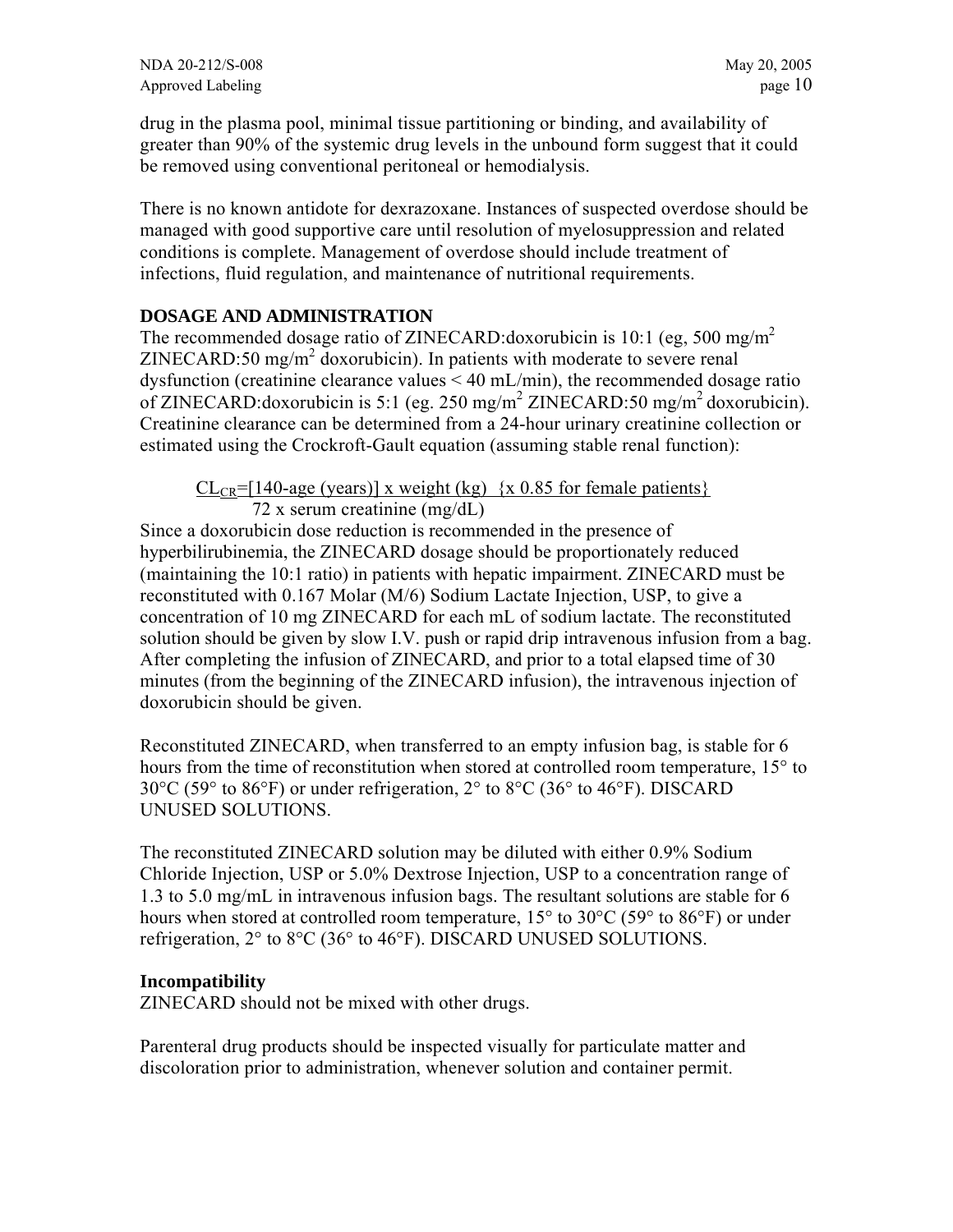drug in the plasma pool, minimal tissue partitioning or binding, and availability of greater than 90% of the systemic drug levels in the unbound form suggest that it could be removed using conventional peritoneal or hemodialysis.

There is no known antidote for dexrazoxane. Instances of suspected overdose should be managed with good supportive care until resolution of myelosuppression and related conditions is complete. Management of overdose should include treatment of infections, fluid regulation, and maintenance of nutritional requirements.

# **DOSAGE AND ADMINISTRATION**

The recommended dosage ratio of ZINECARD:doxorubicin is 10:1 (eg, 500 mg/m<sup>2</sup>) ZINECARD:50 mg/m<sup>2</sup> doxorubicin). In patients with moderate to severe renal dysfunction (creatinine clearance values  $\leq 40$  mL/min), the recommended dosage ratio of ZINECARD: doxorubicin is 5:1 (eg. 250 mg/m<sup>2</sup> ZINECARD: 50 mg/m<sup>2</sup> doxorubicin). Creatinine clearance can be determined from a 24-hour urinary creatinine collection or estimated using the Crockroft-Gault equation (assuming stable renal function):

 $CL_{CR}$ =[140-age (years)] x weight (kg) {x 0.85 for female patients}

72 x serum creatinine (mg/dL)

Since a doxorubicin dose reduction is recommended in the presence of hyperbilirubinemia, the ZINECARD dosage should be proportionately reduced (maintaining the 10:1 ratio) in patients with hepatic impairment. ZINECARD must be reconstituted with 0.167 Molar (M/6) Sodium Lactate Injection, USP, to give a concentration of 10 mg ZINECARD for each mL of sodium lactate. The reconstituted solution should be given by slow I.V. push or rapid drip intravenous infusion from a bag. After completing the infusion of ZINECARD, and prior to a total elapsed time of 30 minutes (from the beginning of the ZINECARD infusion), the intravenous injection of doxorubicin should be given.

Reconstituted ZINECARD, when transferred to an empty infusion bag, is stable for 6 hours from the time of reconstitution when stored at controlled room temperature, 15° to 30°C (59° to 86°F) or under refrigeration, 2° to 8°C (36° to 46°F). DISCARD UNUSED SOLUTIONS.

The reconstituted ZINECARD solution may be diluted with either 0.9% Sodium Chloride Injection, USP or 5.0% Dextrose Injection, USP to a concentration range of 1.3 to 5.0 mg/mL in intravenous infusion bags. The resultant solutions are stable for 6 hours when stored at controlled room temperature, 15<sup>°</sup> to 30<sup>°</sup>C (59<sup>°</sup> to 86<sup>°</sup>F) or under refrigeration, 2° to 8°C (36° to 46°F). DISCARD UNUSED SOLUTIONS.

## **Incompatibility**

ZINECARD should not be mixed with other drugs.

Parenteral drug products should be inspected visually for particulate matter and discoloration prior to administration, whenever solution and container permit.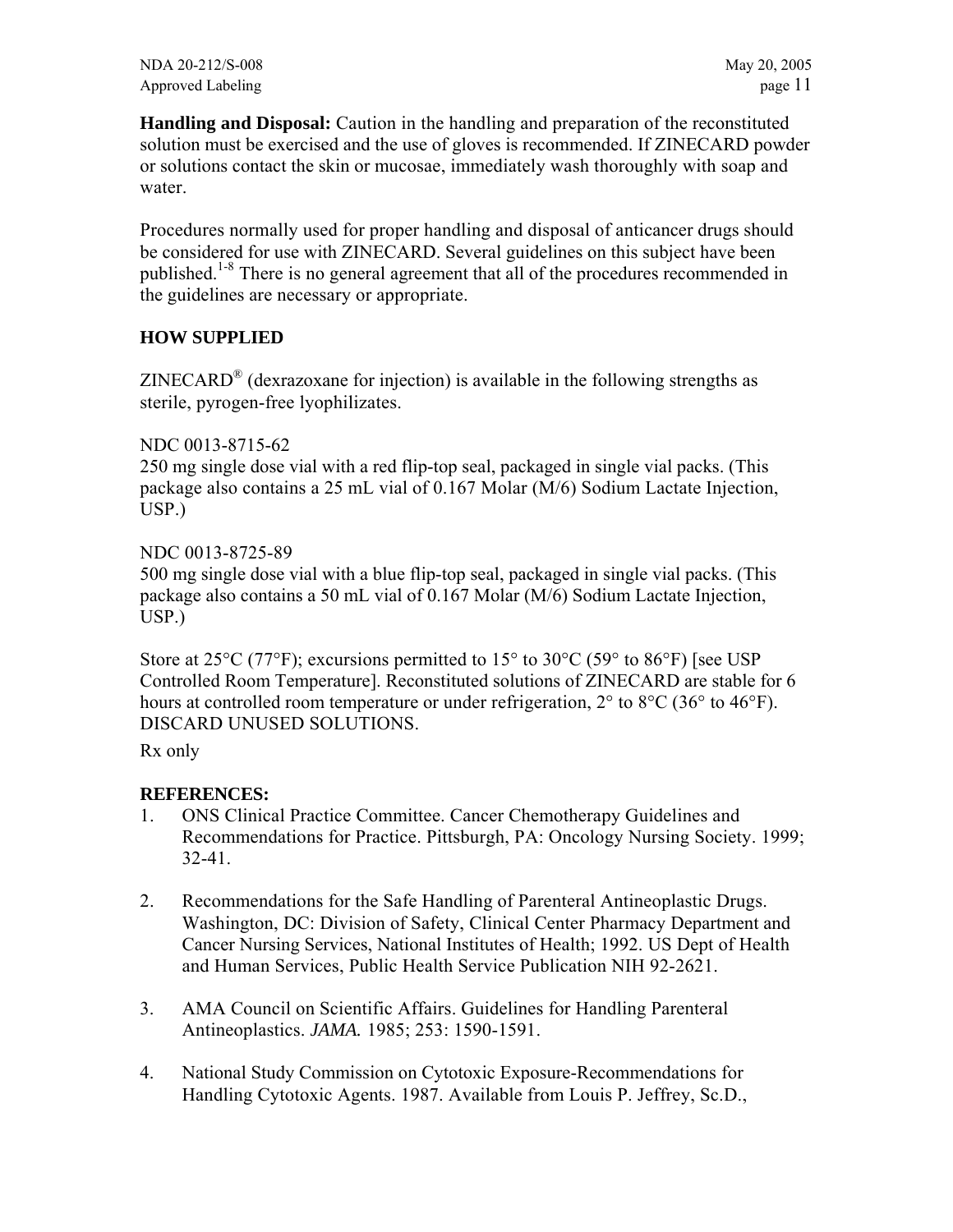**Handling and Disposal:** Caution in the handling and preparation of the reconstituted solution must be exercised and the use of gloves is recommended. If ZINECARD powder or solutions contact the skin or mucosae, immediately wash thoroughly with soap and water.

Procedures normally used for proper handling and disposal of anticancer drugs should be considered for use with ZINECARD. Several guidelines on this subject have been published.<sup>1-8</sup> There is no general agreement that all of the procedures recommended in the guidelines are necessary or appropriate.

# **HOW SUPPLIED**

 $ZINECARD<sup>®</sup>$  (dexrazoxane for injection) is available in the following strengths as sterile, pyrogen-free lyophilizates.

# NDC 0013-8715-62

250 mg single dose vial with a red flip-top seal, packaged in single vial packs. (This package also contains a 25 mL vial of 0.167 Molar (M/6) Sodium Lactate Injection, USP.)

# NDC 0013-8725-89

500 mg single dose vial with a blue flip-top seal, packaged in single vial packs. (This package also contains a 50 mL vial of 0.167 Molar (M/6) Sodium Lactate Injection, USP.)

Store at 25 $\rm ^{\circ}C$  (77 $\rm ^{\circ}F$ ); excursions permitted to 15 $\rm ^{\circ}$  to 30 $\rm ^{\circ}C$  (59 $\rm ^{\circ}$  to 86 $\rm ^{\circ}F$ ) [see USP Controlled Room Temperature]. Reconstituted solutions of ZINECARD are stable for 6 hours at controlled room temperature or under refrigeration, 2° to 8°C (36° to 46°F). DISCARD UNUSED SOLUTIONS.

Rx only

# **REFERENCES:**

- 1. ONS Clinical Practice Committee. Cancer Chemotherapy Guidelines and Recommendations for Practice. Pittsburgh, PA: Oncology Nursing Society. 1999; 32-41.
- 2. Recommendations for the Safe Handling of Parenteral Antineoplastic Drugs. Washington, DC: Division of Safety, Clinical Center Pharmacy Department and Cancer Nursing Services, National Institutes of Health; 1992. US Dept of Health and Human Services, Public Health Service Publication NIH 92-2621.
- 3. AMA Council on Scientific Affairs. Guidelines for Handling Parenteral Antineoplastics. *JAMA.* 1985; 253: 1590-1591.
- 4. National Study Commission on Cytotoxic Exposure-Recommendations for Handling Cytotoxic Agents. 1987. Available from Louis P. Jeffrey, Sc.D.,